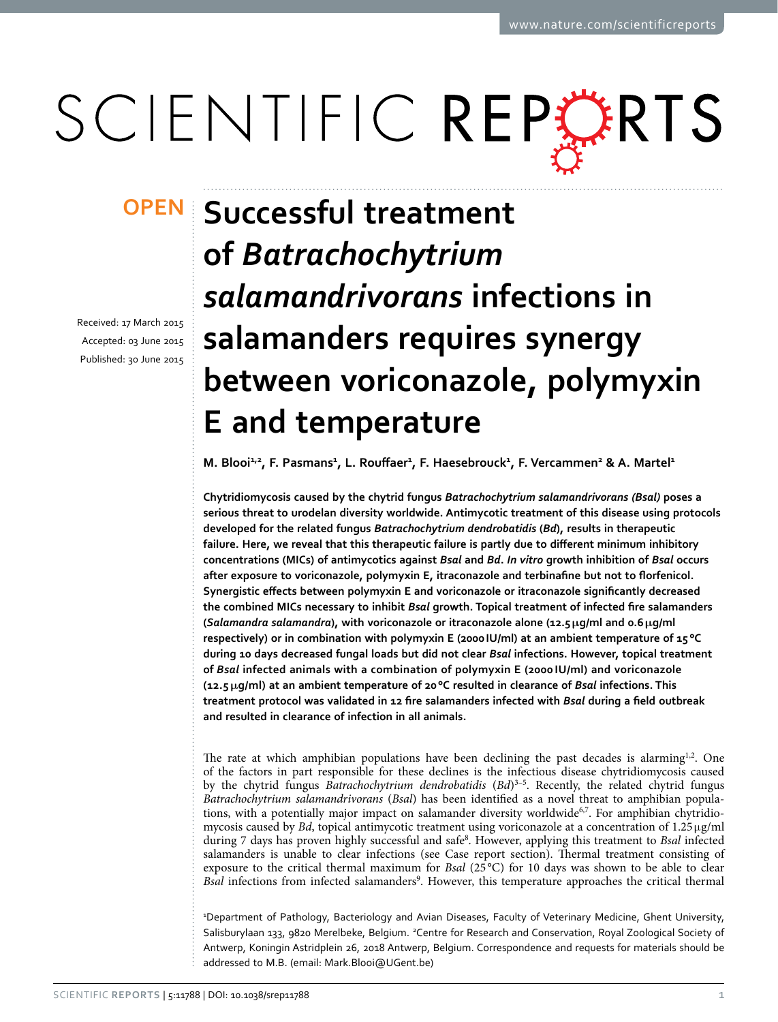# SCIENTIFIC REPERTS

received: 17 March 2015 accepted: 03 June 2015 Published: 30 June 2015

## **Successful treatment of** *Batrachochytrium salamandrivorans* **infections in salamanders requires synergy between voriconazole, polymyxin E and temperature**

**M.** Blooi<sup>1,2</sup>, F. Pasmans<sup>1</sup>, L. Rouffaer<sup>1</sup>, F. Haesebrouck<sup>1</sup>, F. Vercammen<sup>2</sup> & A. Martel<sup>1</sup>

**Chytridiomycosis caused by the chytrid fungus** *Batrachochytrium salamandrivorans (Bsal)* **poses a serious threat to urodelan diversity worldwide. Antimycotic treatment of this disease using protocols developed for the related fungus** *Batrachochytrium dendrobatidis* **(***Bd***), results in therapeutic failure. Here, we reveal that this therapeutic failure is partly due to different minimum inhibitory concentrations (MICs) of antimycotics against** *Bsal* **and** *Bd***.** *In vitro* **growth inhibition of** *Bsal* **occurs after exposure to voriconazole, polymyxin E, itraconazole and terbinafine but not to florfenicol. Synergistic effects between polymyxin E and voriconazole or itraconazole significantly decreased the combined MICs necessary to inhibit** *Bsal* **growth. Topical treatment of infected fire salamanders (***Salamandra salamandra***), with voriconazole or itraconazole alone (12.5μg/ml and 0.6μg/ml respectively) or in combination with polymyxin E (2000IU/ml) at an ambient temperature of 15 °C during 10 days decreased fungal loads but did not clear** *Bsal* **infections. However, topical treatment of** *Bsal* **infected animals with a combination of polymyxin E (2000 IU/ml) and voriconazole (12.5 μg/ml) at an ambient temperature of 20°C resulted in clearance of** *Bsal* **infections. This treatment protocol was validated in 12 fire salamanders infected with** *Bsal* **during a field outbreak and resulted in clearance of infection in all animals.**

The rate at which amphibian populations have been declining the past decades is alarming $1,2$  $1,2$ . One of the factors in part responsible for these declines is the infectious disease chytridiomycosis caused by the chytrid fungus *Batrachochytrium dendrobatidis* (*Bd*)<sup>3-5</sup>. Recently, the related chytrid fungus *Batrachochytrium salamandrivorans* (*Bsal*) has been identified as a novel threat to amphibian populations, with a potentially major impact on salamander diversity worldwide<sup>6,7</sup>. For amphibian chytridiomycosis caused by *Bd*, topical antimycotic treatment using voriconazole at a concentration of 1.25μg/ml during 7 days has proven highly successful and safe[8](#page-6-5) . However, applying this treatment to *Bsal* infected salamanders is unable to clear infections (see Case report section). Thermal treatment consisting of exposure to the critical thermal maximum for *Bsal* (25 °C) for 10 days was shown to be able to clear Bsal infections from infected salamanders<sup>[9](#page-6-6)</sup>. However, this temperature approaches the critical thermal

1 Department of Pathology, Bacteriology and Avian Diseases, Faculty of Veterinary Medicine, Ghent University, Salisburylaan 133, 9820 Merelbeke, Belgium. <sup>2</sup>Centre for Research and Conservation, Royal Zoological Society of Antwerp, Koningin Astridplein 26, 2018 Antwerp, Belgium. Correspondence and requests for materials should be addressed to M.B. (email: [Mark.Blooi@UGent.be](mailto:Mark.Blooi@UGent.be))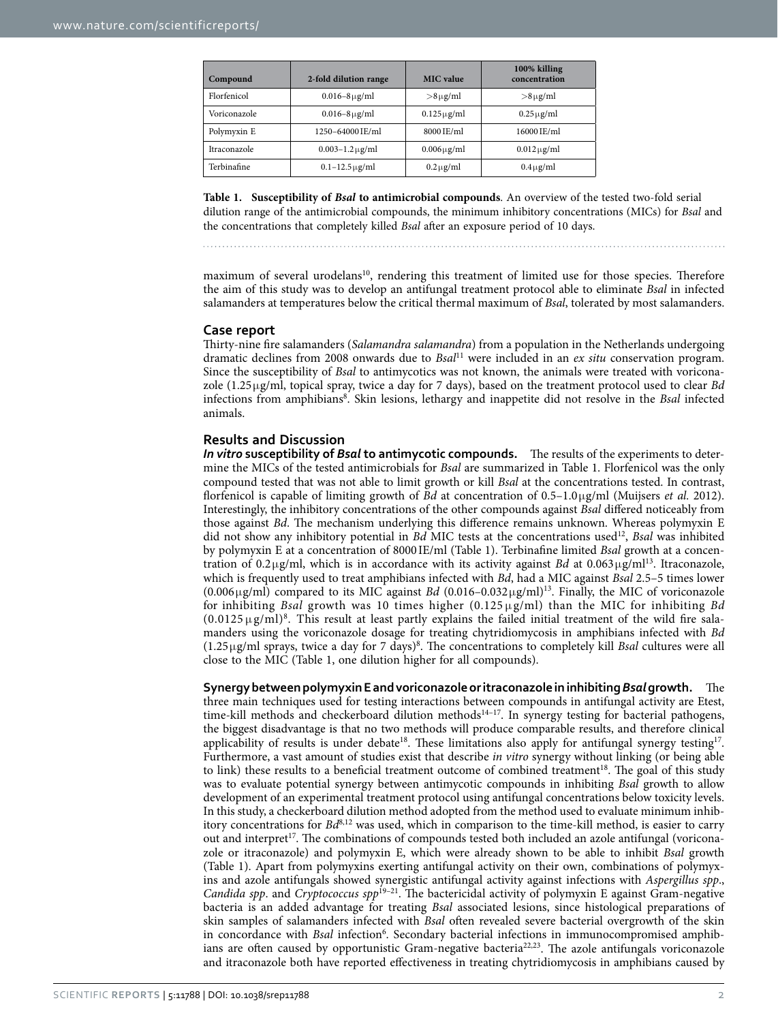<span id="page-1-0"></span>

| Compound     | 2-fold dilution range    | <b>MIC</b> value              | 100% killing<br>concentration |
|--------------|--------------------------|-------------------------------|-------------------------------|
| Florfenicol  | $0.016 - 8 \,\mu g/ml$   | $>8 \mu g/ml$                 | $>8 \mu$ g/ml                 |
| Voriconazole | $0.016 - 8 \,\mu g/ml$   | $0.125 \,\mathrm{\upmu g/ml}$ | $0.25 \mu$ g/ml               |
| Polymyxin E  | 1250-64000 IE/ml         | 8000 IE/ml                    | 16000 IE/ml                   |
| Itraconazole | $0.003 - 1.2 \,\mu g/ml$ | $0.006 \mu$ g/ml              | $0.012 \mu$ g/ml              |
| Terbinafine  | $0.1 - 12.5 \,\mu g/ml$  | $0.2 \mu$ g/ml                | $0.4 \mu$ g/ml                |

**Table 1. Susceptibility of** *Bsal* **to antimicrobial compounds**. An overview of the tested two-fold serial dilution range of the antimicrobial compounds, the minimum inhibitory concentrations (MICs) for *Bsal* and the concentrations that completely killed *Bsal* after an exposure period of 10 days.

maximum of several urodelans<sup>10</sup>, rendering this treatment of limited use for those species. Therefore the aim of this study was to develop an antifungal treatment protocol able to eliminate *Bsal* in infected salamanders at temperatures below the critical thermal maximum of *Bsal*, tolerated by most salamanders.

#### **Case report**

Thirty-nine fire salamanders (*Salamandra salamandra*) from a population in the Netherlands undergoing dramatic declines from 2008 onwards due to *Bsal*[11](#page-6-8) were included in an *ex situ* conservation program. Since the susceptibility of *Bsal* to antimycotics was not known, the animals were treated with voriconazole (1.25μg/ml, topical spray, twice a day for 7 days), based on the treatment protocol used to clear *Bd* infections from amphibians[8](#page-6-5) . Skin lesions, lethargy and inappetite did not resolve in the *Bsal* infected animals.

#### **Results and Discussion**

*In vitro* **susceptibility of** *Bsal* **to antimycotic compounds.** The results of the experiments to determine the MICs of the tested antimicrobials for *Bsal* are summarized in [Table 1.](#page-1-0) Florfenicol was the only compound tested that was not able to limit growth or kill *Bsal* at the concentrations tested. In contrast, florfenicol is capable of limiting growth of *Bd* at concentration of 0.5–1.0μg/ml (Muijsers *et al.* 2012). Interestingly, the inhibitory concentrations of the other compounds against *Bsal* differed noticeably from those against *Bd*. The mechanism underlying this difference remains unknown. Whereas polymyxin E did not show any inhibitory potential in *Bd* MIC tests at the concentrations used[12,](#page-6-9) *Bsal* was inhibited by polymyxin E at a concentration of 8000 IE/ml [\(Table 1\)](#page-1-0). Terbinafine limited *Bsal* growth at a concentration of 0.2μg/ml, which is in accordance with its activity against *Bd* at 0.063μg/m[l13](#page-6-10). Itraconazole, which is frequently used to treat amphibians infected with *Bd*, had a MIC against *Bsal* 2.5–5 times lower (0.006μg/ml) compared to its MIC against *Bd* (0.016–0.032μg/ml[\)13](#page-6-10). Finally, the MIC of voriconazole for inhibiting *Bsal* growth was 10 times higher (0.125 μg/ml) than the MIC for inhibiting *Bd*  $(0.0125 \,\mu\text{g/ml})^8$  $(0.0125 \,\mu\text{g/ml})^8$ . This result at least partly explains the failed initial treatment of the wild fire salamanders using the voriconazole dosage for treating chytridiomycosis in amphibians infected with *Bd* (1.25μg/ml sprays, twice a day for 7 days)[8](#page-6-5) . The concentrations to completely kill *Bsal* cultures were all close to the MIC ([Table 1](#page-1-0), one dilution higher for all compounds).

**Synergy between polymyxin E and voriconazole or itraconazole in inhibiting** *Bsal* **growth.** The three main techniques used for testing interactions between compounds in antifungal activity are Etest, time-kill methods and checkerboard dilution methods<sup>14–17</sup>. In synergy testing for bacterial pathogens, the biggest disadvantage is that no two methods will produce comparable results, and therefore clinical applicability of results is under debate<sup>18</sup>. These limitations also apply for antifungal synergy testing<sup>[17](#page-6-13)</sup>. Furthermore, a vast amount of studies exist that describe *in vitro* synergy without linking (or being able to link) these results to a beneficial treatment outcome of combined treatment $18$ . The goal of this study was to evaluate potential synergy between antimycotic compounds in inhibiting *Bsal* growth to allow development of an experimental treatment protocol using antifungal concentrations below toxicity levels. In this study, a checkerboard dilution method adopted from the method used to evaluate minimum inhibitory concentrations for *Bd*<sup>[8](#page-6-5),12</sup> was used, which in comparison to the time-kill method, is easier to carry out and interpret<sup>17</sup>. The combinations of compounds tested both included an azole antifungal (voriconazole or itraconazole) and polymyxin E, which were already shown to be able to inhibit *Bsal* growth ([Table 1\)](#page-1-0). Apart from polymyxins exerting antifungal activity on their own, combinations of polymyxins and azole antifungals showed synergistic antifungal activity against infections with *Aspergillus spp*., *Candida spp*. and *Cryptococcus spp*[19–21](#page-6-14). The bactericidal activity of polymyxin E against Gram-negative bacteria is an added advantage for treating *Bsal* associated lesions, since histological preparations of skin samples of salamanders infected with *Bsal* often revealed severe bacterial overgrowth of the skin in concordance with *Bsal* infection<sup>[6](#page-6-3)</sup>. Secondary bacterial infections in immunocompromised amphib-ians are often caused by opportunistic Gram-negative bacteria<sup>[22,](#page-6-15)23</sup>. The azole antifungals voriconazole and itraconazole both have reported effectiveness in treating chytridiomycosis in amphibians caused by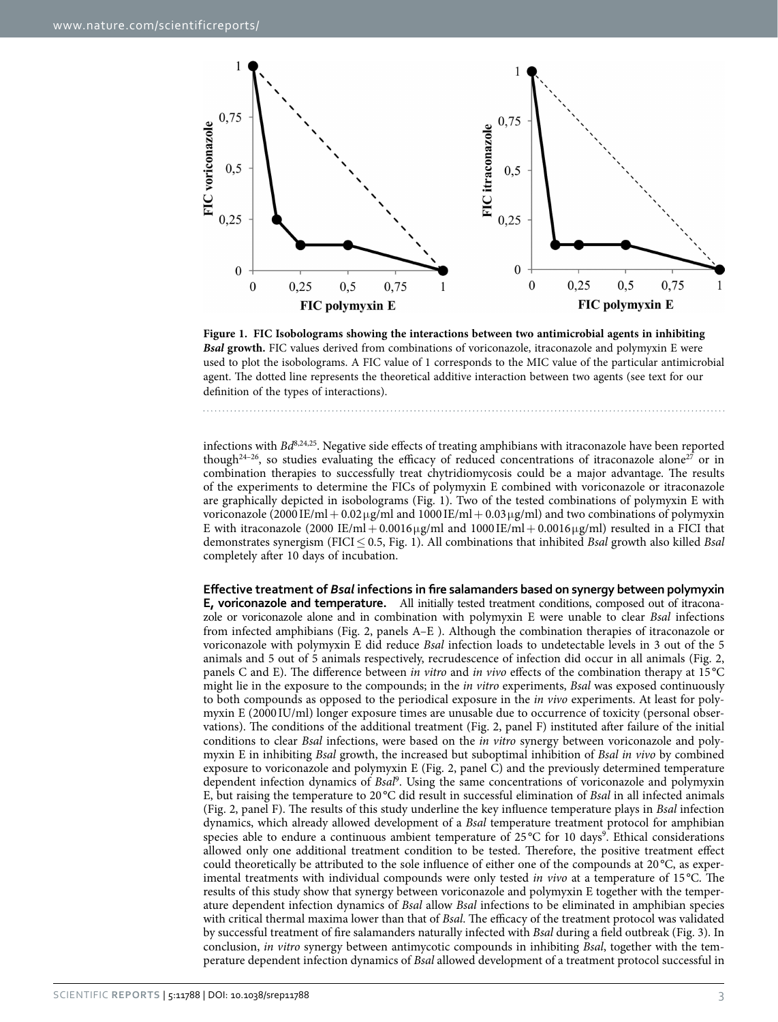

<span id="page-2-0"></span>**Figure 1. FIC Isobolograms showing the interactions between two antimicrobial agents in inhibiting**  *Bsal* **growth.** FIC values derived from combinations of voriconazole, itraconazole and polymyxin E were used to plot the isobolograms. A FIC value of 1 corresponds to the MIC value of the particular antimicrobial agent. The dotted line represents the theoretical additive interaction between two agents (see text for our definition of the types of interactions).

infections with *Bd*[8](#page-6-5)[,24](#page-6-17),[25.](#page-6-18) Negative side effects of treating amphibians with itraconazole have been reported though<sup>24-26</sup>, so studies evaluating the efficacy of reduced concentrations of itraconazole alone<sup>27</sup> or in combination therapies to successfully treat chytridiomycosis could be a major advantage. The results of the experiments to determine the FICs of polymyxin E combined with voriconazole or itraconazole are graphically depicted in isobolograms [\(Fig. 1\)](#page-2-0). Two of the tested combinations of polymyxin E with voriconazole (2000 ΙΕ/ml + 0.02 μg/ml and 1000 ΙΕ/ml + 0.03 μg/ml) and two combinations of polymyxin E with itraconazole (2000 IE/ml + 0.0016µg/ml and 1000 IE/ml + 0.0016µg/ml) resulted in a FICI that demonstrates synergism (FICI≤ 0.5, [Fig. 1\)](#page-2-0). All combinations that inhibited *Bsal* growth also killed *Bsal* completely after 10 days of incubation.

**Effective treatment of** *Bsal* **infections in fire salamanders based on synergy between polymyxin E, voriconazole and temperature.** All initially tested treatment conditions, composed out of itraconazole or voriconazole alone and in combination with polymyxin E were unable to clear *Bsal* infections from infected amphibians [\(Fig. 2](#page-3-0), panels A–E ). Although the combination therapies of itraconazole or voriconazole with polymyxin E did reduce *Bsal* infection loads to undetectable levels in 3 out of the 5 animals and 5 out of 5 animals respectively, recrudescence of infection did occur in all animals ([Fig. 2](#page-3-0), panels C and E). The difference between *in vitro* and *in vivo* effects of the combination therapy at 15 °C might lie in the exposure to the compounds; in the *in vitro* experiments, *Bsal* was exposed continuously to both compounds as opposed to the periodical exposure in the *in vivo* experiments. At least for polymyxin E (2000 IU/ml) longer exposure times are unusable due to occurrence of toxicity (personal observations). The conditions of the additional treatment ([Fig. 2](#page-3-0), panel F) instituted after failure of the initial conditions to clear *Bsal* infections, were based on the *in vitro* synergy between voriconazole and polymyxin E in inhibiting *Bsal* growth, the increased but suboptimal inhibition of *Bsal in vivo* by combined exposure to voriconazole and polymyxin E ([Fig. 2](#page-3-0), panel C) and the previously determined temperature dependent infection dynamics of *Bsal*[9](#page-6-6) . Using the same concentrations of voriconazole and polymyxin E, but raising the temperature to 20 °C did result in successful elimination of *Bsal* in all infected animals ([Fig. 2](#page-3-0), panel F). The results of this study underline the key influence temperature plays in *Bsal* infection dynamics, which already allowed development of a *Bsal* temperature treatment protocol for amphibian species able to endure a continuous ambient temperature of  $25^{\circ}$ C for 10 days<sup>[9](#page-6-6)</sup>. Ethical considerations allowed only one additional treatment condition to be tested. Therefore, the positive treatment effect could theoretically be attributed to the sole influence of either one of the compounds at 20 °C, as experimental treatments with individual compounds were only tested *in vivo* at a temperature of 15 °C. The results of this study show that synergy between voriconazole and polymyxin E together with the temperature dependent infection dynamics of *Bsal* allow *Bsal* infections to be eliminated in amphibian species with critical thermal maxima lower than that of *Bsal*. The efficacy of the treatment protocol was validated by successful treatment of fire salamanders naturally infected with *Bsal* during a field outbreak ([Fig. 3\)](#page-4-0). In conclusion, *in vitro* synergy between antimycotic compounds in inhibiting *Bsal*, together with the temperature dependent infection dynamics of *Bsal* allowed development of a treatment protocol successful in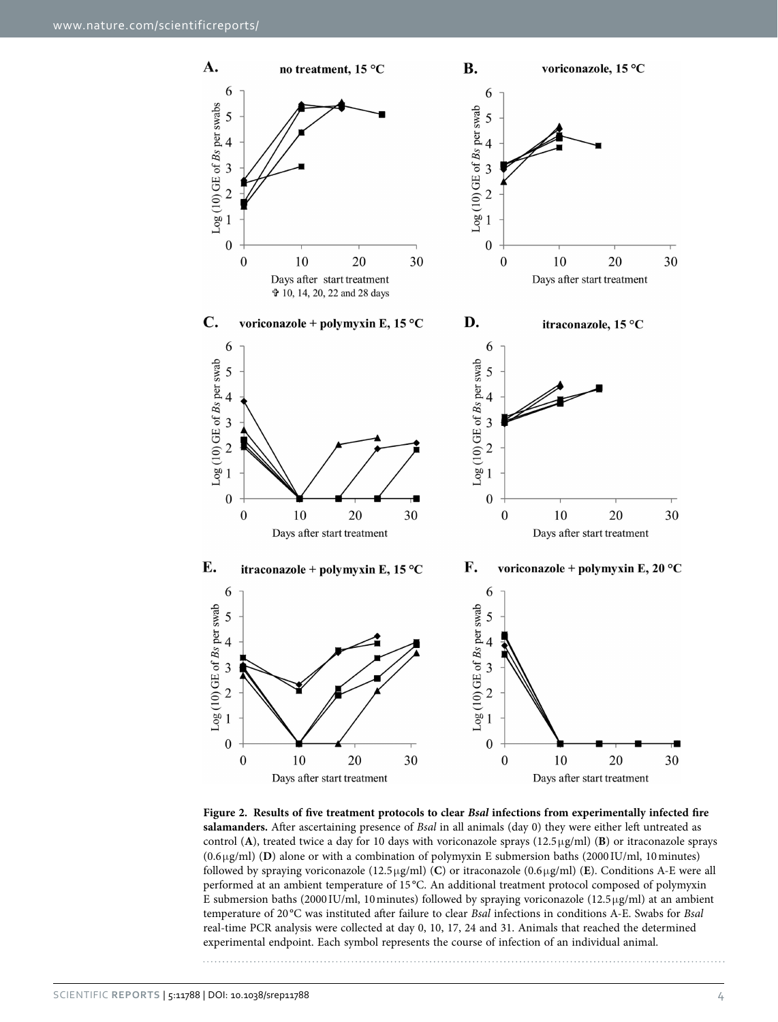

<span id="page-3-0"></span>**Figure 2. Results of five treatment protocols to clear** *Bsal* **infections from experimentally infected fire salamanders.** After ascertaining presence of *Bsal* in all animals (day 0) they were either left untreated as control (**A**), treated twice a day for 10 days with voriconazole sprays (12.5μg/ml) (**B**) or itraconazole sprays (0.6μg/ml) (**D**) alone or with a combination of polymyxin E submersion baths (2000 IU/ml, 10minutes) followed by spraying voriconazole (12.5μg/ml) (**C**) or itraconazole (0.6μg/ml) (**E**). Conditions A-E were all performed at an ambient temperature of 15 °C. An additional treatment protocol composed of polymyxin E submersion baths (2000 IU/ml, 10 minutes) followed by spraying voriconazole (12.5 $\mu$ g/ml) at an ambient temperature of 20 °C was instituted after failure to clear *Bsal* infections in conditions A-E. Swabs for *Bsal* real-time PCR analysis were collected at day 0, 10, 17, 24 and 31. Animals that reached the determined experimental endpoint. Each symbol represents the course of infection of an individual animal.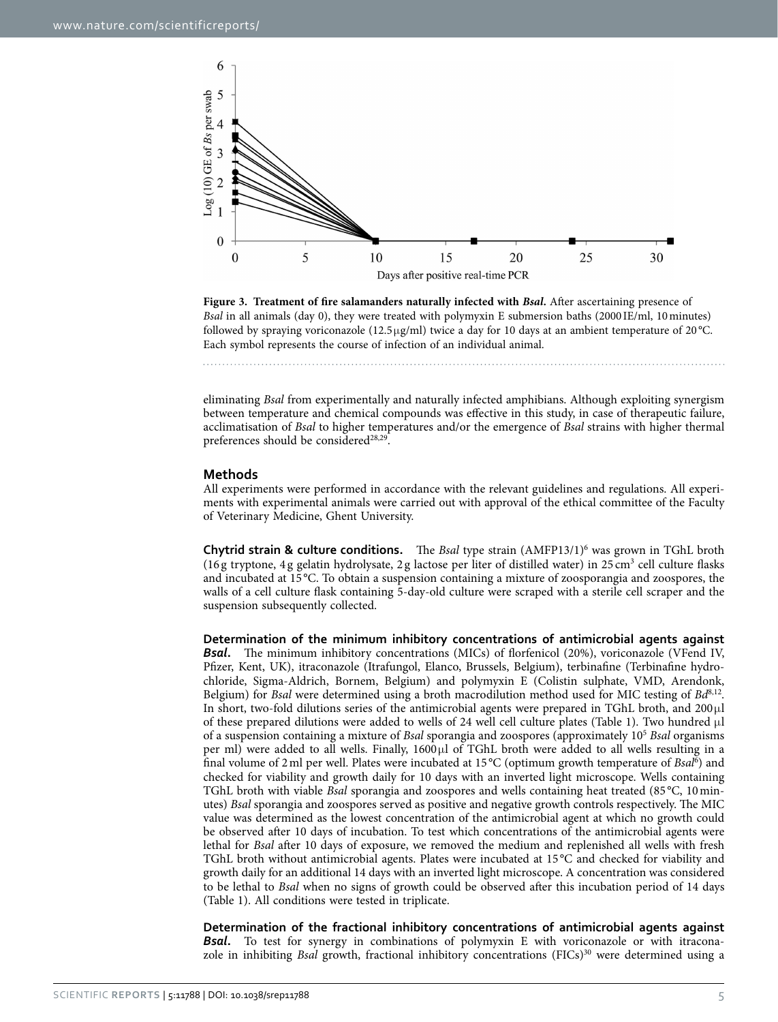

<span id="page-4-0"></span>**Figure 3. Treatment of fire salamanders naturally infected with** *Bsal***.** After ascertaining presence of *Bsal* in all animals (day 0), they were treated with polymyxin E submersion baths (2000 IE/ml, 10minutes) followed by spraying voriconazole (12.5 $\mu$ g/ml) twice a day for 10 days at an ambient temperature of 20 $^{\circ}$ C. Each symbol represents the course of infection of an individual animal.

eliminating *Bsal* from experimentally and naturally infected amphibians. Although exploiting synergism between temperature and chemical compounds was effective in this study, in case of therapeutic failure, acclimatisation of *Bsal* to higher temperatures and/or the emergence of *Bsal* strains with higher thermal preferences should be considered $28,29$ .

#### **Methods**

All experiments were performed in accordance with the relevant guidelines and regulations. All experiments with experimental animals were carried out with approval of the ethical committee of the Faculty of Veterinary Medicine, Ghent University.

**Chytrid strain & culture conditions.** The *Bsal* type strain (AMFP13/1)<sup>6</sup> was grown in TGhL broth (16g tryptone, 4g gelatin hydrolysate, 2g lactose per liter of distilled water) in 25 cm<sup>3</sup> cell culture flasks and incubated at 15 °C. To obtain a suspension containing a mixture of zoosporangia and zoospores, the walls of a cell culture flask containing 5-day-old culture were scraped with a sterile cell scraper and the suspension subsequently collected.

**Determination of the minimum inhibitory concentrations of antimicrobial agents against Bsal.** The minimum inhibitory concentrations (MICs) of florfenicol (20%), voriconazole (VFend IV, Pfizer, Kent, UK), itraconazole (Itrafungol, Elanco, Brussels, Belgium), terbinafine (Terbinafine hydrochloride, Sigma-Aldrich, Bornem, Belgium) and polymyxin E (Colistin sulphate, VMD, Arendonk, Belgium) for *Bsal* were determined using a broth macrodilution method used for MIC testing of *Bd*[8](#page-6-5),[12](#page-6-9). In short, two-fold dilutions series of the antimicrobial agents were prepared in TGhL broth, and 200μl of these prepared dilutions were added to wells of 24 well cell culture plates ([Table 1\)](#page-1-0). Two hundred μl of a suspension containing a mixture of *Bsal* sporangia and zoospores (approximately 105 *Bsal* organisms per ml) were added to all wells. Finally, 1600μl of TGhL broth were added to all wells resulting in a final volume of 2ml per well. Plates were incubated at 15 °C (optimum growth temperature of *Bsal*[6](#page-6-3) ) and checked for viability and growth daily for 10 days with an inverted light microscope. Wells containing TGhL broth with viable *Bsal* sporangia and zoospores and wells containing heat treated (85 °C, 10minutes) *Bsal* sporangia and zoospores served as positive and negative growth controls respectively. The MIC value was determined as the lowest concentration of the antimicrobial agent at which no growth could be observed after 10 days of incubation. To test which concentrations of the antimicrobial agents were lethal for *Bsal* after 10 days of exposure, we removed the medium and replenished all wells with fresh TGhL broth without antimicrobial agents. Plates were incubated at 15 °C and checked for viability and growth daily for an additional 14 days with an inverted light microscope. A concentration was considered to be lethal to *Bsal* when no signs of growth could be observed after this incubation period of 14 days ([Table 1\)](#page-1-0). All conditions were tested in triplicate.

**Determination of the fractional inhibitory concentrations of antimicrobial agents against Bsal.** To test for synergy in combinations of polymyxin E with voriconazole or with itraconazole in inhibiting *Bsal* growth, fractional inhibitory concentrations (FICs)<sup>30</sup> were determined using a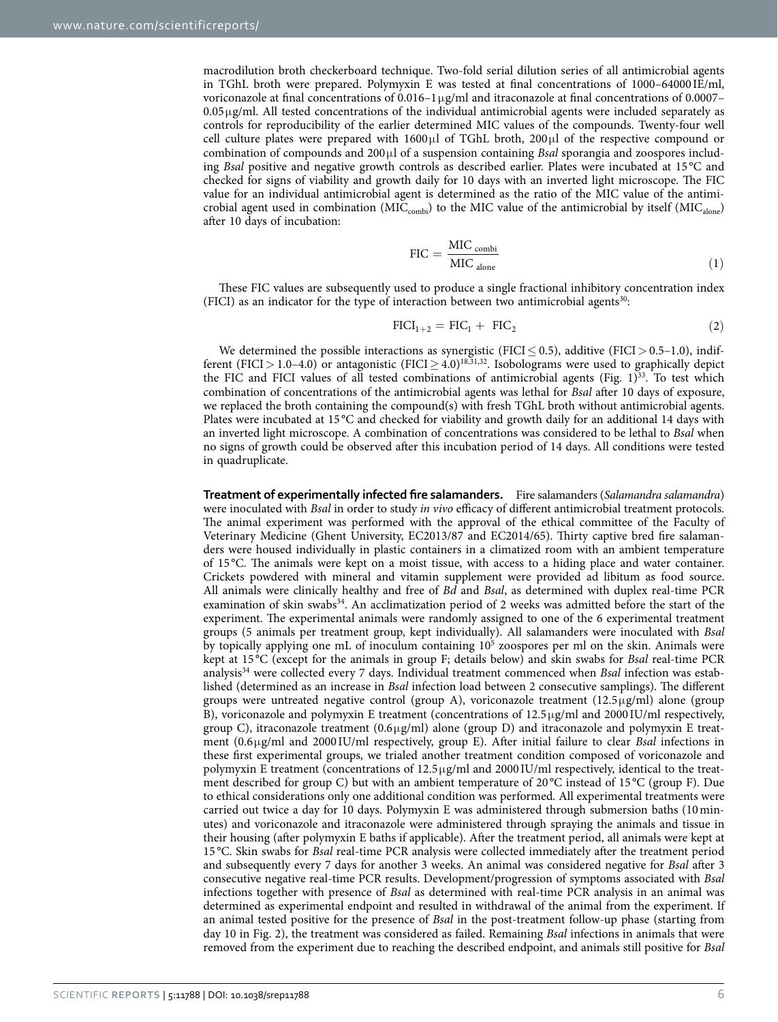macrodilution broth checkerboard technique. Two-fold serial dilution series of all antimicrobial agents in TGhL broth were prepared. Polymyxin E was tested at final concentrations of 1000–64000 IE/ml, voriconazole at final concentrations of 0.016–1μg/ml and itraconazole at final concentrations of 0.0007–  $0.05\,\mu$ g/ml. All tested concentrations of the individual antimicrobial agents were included separately as controls for reproducibility of the earlier determined MIC values of the compounds. Twenty-four well cell culture plates were prepared with 1600μl of TGhL broth, 200μl of the respective compound or combination of compounds and 200μl of a suspension containing *Bsal* sporangia and zoospores including *Bsal* positive and negative growth controls as described earlier. Plates were incubated at 15 °C and checked for signs of viability and growth daily for 10 days with an inverted light microscope. The FIC value for an individual antimicrobial agent is determined as the ratio of the MIC value of the antimicrobial agent used in combination (MIC<sub>combi</sub>) to the MIC value of the antimicrobial by itself (MIC<sub>alone</sub>) after 10 days of incubation:

$$
FIC = \frac{MIC_{\text{combi}}}{MIC_{\text{alone}}}
$$
 (1)

These FIC values are subsequently used to produce a single fractional inhibitory concentration index (FICI) as an indicator for the type of interaction between two antimicrobial agents $30$ :

$$
FICI_{1+2} = FIC_1 + FIC_2 \tag{2}
$$

We determined the possible interactions as synergistic (FICI  $\leq$  0.5), additive (FICI  $>$  0.5–1.0), indif-ferent (FICI > 1.0–4.0) or antagonistic (FICI > 4.0)<sup>18,[31,](#page-7-2)[32](#page-7-3)</sup>. Isobolograms were used to graphically depict the FIC and FICI values of all tested combinations of antimicrobial agents (Fig.  $1$ )<sup>33</sup>. To test which combination of concentrations of the antimicrobial agents was lethal for *Bsal* after 10 days of exposure, we replaced the broth containing the compound(s) with fresh TGhL broth without antimicrobial agents. Plates were incubated at 15 °C and checked for viability and growth daily for an additional 14 days with an inverted light microscope. A combination of concentrations was considered to be lethal to *Bsal* when no signs of growth could be observed after this incubation period of 14 days. All conditions were tested in quadruplicate.

**Treatment of experimentally infected fire salamanders.** Fire salamanders (*Salamandra salamandra*) were inoculated with *Bsal* in order to study *in vivo* efficacy of different antimicrobial treatment protocols. The animal experiment was performed with the approval of the ethical committee of the Faculty of Veterinary Medicine (Ghent University, EC2013/87 and EC2014/65). Thirty captive bred fire salamanders were housed individually in plastic containers in a climatized room with an ambient temperature of 15 °C. The animals were kept on a moist tissue, with access to a hiding place and water container. Crickets powdered with mineral and vitamin supplement were provided ad libitum as food source. All animals were clinically healthy and free of *Bd* and *Bsal*, as determined with duplex real-time PCR examination of skin swabs<sup>34</sup>. An acclimatization period of 2 weeks was admitted before the start of the experiment. The experimental animals were randomly assigned to one of the 6 experimental treatment groups (5 animals per treatment group, kept individually). All salamanders were inoculated with *Bsal* by topically applying one mL of inoculum containing 10<sup>5</sup> zoospores per ml on the skin. Animals were kept at 15 °C (except for the animals in group F; details below) and skin swabs for *Bsal* real-time PCR analysi[s34](#page-7-5) were collected every 7 days. Individual treatment commenced when *Bsal* infection was established (determined as an increase in *Bsal* infection load between 2 consecutive samplings). The different groups were untreated negative control (group A), voriconazole treatment (12.5μg/ml) alone (group B), voriconazole and polymyxin E treatment (concentrations of 12.5μg/ml and 2000 IU/ml respectively, group C), itraconazole treatment  $(0.6\mu g/ml)$  alone (group D) and itraconazole and polymyxin E treatment (0.6μg/ml and 2000 IU/ml respectively, group E). After initial failure to clear *Bsal* infections in these first experimental groups, we trialed another treatment condition composed of voriconazole and polymyxin E treatment (concentrations of 12.5μg/ml and 2000 IU/ml respectively, identical to the treatment described for group C) but with an ambient temperature of  $20^{\circ}$ C instead of 15 °C (group F). Due to ethical considerations only one additional condition was performed. All experimental treatments were carried out twice a day for 10 days. Polymyxin E was administered through submersion baths (10minutes) and voriconazole and itraconazole were administered through spraying the animals and tissue in their housing (after polymyxin E baths if applicable). After the treatment period, all animals were kept at 15 °C. Skin swabs for *Bsal* real-time PCR analysis were collected immediately after the treatment period and subsequently every 7 days for another 3 weeks. An animal was considered negative for *Bsal* after 3 consecutive negative real-time PCR results. Development/progression of symptoms associated with *Bsal* infections together with presence of *Bsal* as determined with real-time PCR analysis in an animal was determined as experimental endpoint and resulted in withdrawal of the animal from the experiment. If an animal tested positive for the presence of *Bsal* in the post-treatment follow-up phase (starting from day 10 in [Fig. 2](#page-3-0)), the treatment was considered as failed. Remaining *Bsal* infections in animals that were removed from the experiment due to reaching the described endpoint, and animals still positive for *Bsal*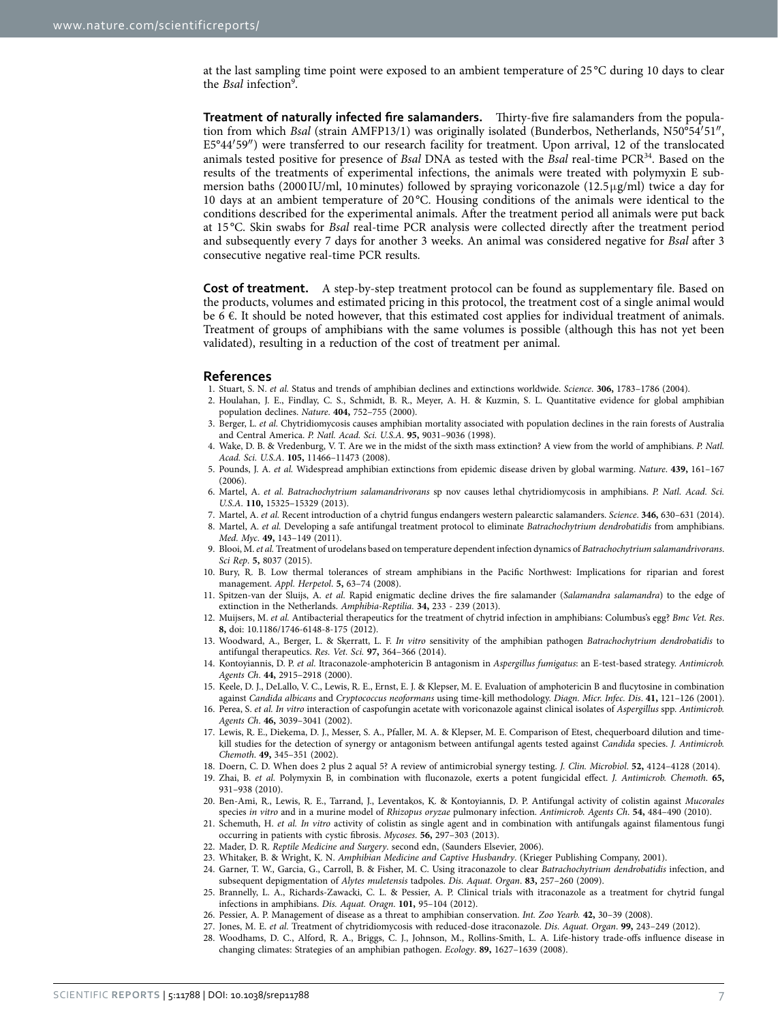at the last sampling time point were exposed to an ambient temperature of 25 °C during 10 days to clear the *Bsal* infection<sup>[9](#page-6-6)</sup>.

**Treatment of naturally infected fire salamanders.** Thirty-five fire salamanders from the population from which *Bsal* (strain AMFP13/1) was originally isolated (Bunderbos, Netherlands, N50°54′51″, E5°44′59″) were transferred to our research facility for treatment. Upon arrival, 12 of the translocated animals tested positive for presence of *Bsal* DNA as tested with the *Bsal* real-time PC[R34](#page-7-5). Based on the results of the treatments of experimental infections, the animals were treated with polymyxin E submersion baths (2000 IU/ml, 10 minutes) followed by spraying voriconazole (12.5 $\mu$ g/ml) twice a day for 10 days at an ambient temperature of 20 °C. Housing conditions of the animals were identical to the conditions described for the experimental animals. After the treatment period all animals were put back at 15 °C. Skin swabs for *Bsal* real-time PCR analysis were collected directly after the treatment period and subsequently every 7 days for another 3 weeks. An animal was considered negative for *Bsal* after 3 consecutive negative real-time PCR results.

**Cost of treatment.** A step-by-step treatment protocol can be found as supplementary file. Based on the products, volumes and estimated pricing in this protocol, the treatment cost of a single animal would be 6  $\epsilon$ . It should be noted however, that this estimated cost applies for individual treatment of animals. Treatment of groups of amphibians with the same volumes is possible (although this has not yet been validated), resulting in a reduction of the cost of treatment per animal.

#### **References**

- <span id="page-6-0"></span>1. Stuart, S. N. *et al.* Status and trends of amphibian declines and extinctions worldwide. *Science*. **306,** 1783–1786 (2004).
- <span id="page-6-1"></span>2. Houlahan, J. E., Findlay, C. S., Schmidt, B. R., Meyer, A. H. & Kuzmin, S. L. Quantitative evidence for global amphibian population declines. *Nature*. **404,** 752–755 (2000).
- <span id="page-6-2"></span>3. Berger, L. *et al.* Chytridiomycosis causes amphibian mortality associated with population declines in the rain forests of Australia and Central America. *P. Natl. Acad. Sci. U.S.A*. **95,** 9031–9036 (1998).
- 4. Wake, D. B. & Vredenburg, V. T. Are we in the midst of the sixth mass extinction? A view from the world of amphibians. *P. Natl. Acad. Sci. U.S.A*. **105,** 11466–11473 (2008).
- 5. Pounds, J. A. *et al.* Widespread amphibian extinctions from epidemic disease driven by global warming. *Nature*. **439,** 161–167 (2006).
- <span id="page-6-3"></span>6. Martel, A. *et al. Batrachochytrium salamandrivorans* sp nov causes lethal chytridiomycosis in amphibians. *P. Natl. Acad. Sci. U.S.A*. **110,** 15325–15329 (2013).
- <span id="page-6-4"></span>7. Martel, A. *et al.* Recent introduction of a chytrid fungus endangers western palearctic salamanders. *Science*. **346,** 630–631 (2014).
- <span id="page-6-5"></span>8. Martel, A. *et al.* Developing a safe antifungal treatment protocol to eliminate *Batrachochytrium dendrobatidis* from amphibians. *Med. Myc*. **49,** 143–149 (2011).
- <span id="page-6-6"></span>9. Blooi, M. *et al.* Treatment of urodelans based on temperature dependent infection dynamics of *Batrachochytrium salamandrivorans*. *Sci Rep*. **5,** 8037 (2015).
- <span id="page-6-7"></span>10. Bury, R. B. Low thermal tolerances of stream amphibians in the Pacific Northwest: Implications for riparian and forest management. *Appl. Herpetol*. **5,** 63–74 (2008).
- <span id="page-6-8"></span>11. Spitzen-van der Sluijs, A. *et al.* Rapid enigmatic decline drives the fire salamander (*Salamandra salamandra*) to the edge of extinction in the Netherlands. *Amphibia-Reptilia.* **34,** 233 - 239 (2013).
- <span id="page-6-9"></span>12. Muijsers, M. *et al.* Antibacterial therapeutics for the treatment of chytrid infection in amphibians: Columbus's egg? *Bmc Vet. Res*. **8,** doi: 10.1186/1746-6148-8-175 (2012).
- <span id="page-6-10"></span>13. Woodward, A., Berger, L. & Skerratt, L. F. *In vitro* sensitivity of the amphibian pathogen *Batrachochytrium dendrobatidis* to antifungal therapeutics. *Res. Vet. Sci.* **97,** 364–366 (2014).
- <span id="page-6-11"></span>14. Kontoyiannis, D. P. *et al.* Itraconazole-amphotericin B antagonism in *Aspergillus fumigatus*: an E-test-based strategy. *Antimicrob. Agents Ch*. **44,** 2915–2918 (2000).
- 15. Keele, D. J., DeLallo, V. C., Lewis, R. E., Ernst, E. J. & Klepser, M. E. Evaluation of amphotericin B and flucytosine in combination against *Candida albicans* and *Cryptococcus neoformans* using time-kill methodology. *Diagn. Micr. Infec. Dis*. **41,** 121–126 (2001).
- 16. Perea, S. *et al. In vitro* interaction of caspofungin acetate with voriconazole against clinical isolates of *Aspergillus* spp. *Antimicrob. Agents Ch*. **46,** 3039–3041 (2002).
- <span id="page-6-13"></span>17. Lewis, R. E., Diekema, D. J., Messer, S. A., Pfaller, M. A. & Klepser, M. E. Comparison of Etest, chequerboard dilution and timekill studies for the detection of synergy or antagonism between antifungal agents tested against *Candida* species. *J. Antimicrob. Chemoth*. **49,** 345–351 (2002).
- <span id="page-6-12"></span>18. Doern, C. D. When does 2 plus 2 aqual 5? A review of antimicrobial synergy testing. *J. Clin. Microbiol*. **52,** 4124–4128 (2014).
- <span id="page-6-14"></span>19. Zhai, B. *et al.* Polymyxin B, in combination with fluconazole, exerts a potent fungicidal effect. *J. Antimicrob. Chemoth*. **65,** 931–938 (2010).
- 20. Ben-Ami, R., Lewis, R. E., Tarrand, J., Leventakos, K. & Kontoyiannis, D. P. Antifungal activity of colistin against *Mucorales* species *in vitro* and in a murine model of *Rhizopus oryzae* pulmonary infection. *Antimicrob. Agents Ch*. **54,** 484–490 (2010).
- 21. Schemuth, H. *et al. In vitro* activity of colistin as single agent and in combination with antifungals against filamentous fungi occurring in patients with cystic fibrosis. *Mycoses*. **56,** 297–303 (2013).
- <span id="page-6-16"></span><span id="page-6-15"></span>22. Mader, D. R. *Reptile Medicine and Surgery*. second edn, (Saunders Elsevier, 2006).
- <span id="page-6-18"></span><span id="page-6-17"></span>23. Whitaker, B. & Wright, K. N. *Amphibian Medicine and Captive Husbandry*. (Krieger Publishing Company, 2001).
- 24. Garner, T. W., Garcia, G., Carroll, B. & Fisher, M. C. Using itraconazole to clear *Batrachochytrium dendrobatidis* infection, and subsequent depigmentation of *Alytes muletensis* tadpoles. *Dis. Aquat. Organ*. **83,** 257–260 (2009).
	- 25. Brannelly, L. A., Richards-Zawacki, C. L. & Pessier, A. P. Clinical trials with itraconazole as a treatment for chytrid fungal infections in amphibians. *Dis. Aquat. Oragn*. **101,** 95–104 (2012).
	- 26. Pessier, A. P. Management of disease as a threat to amphibian conservation. *Int. Zoo Yearb.* **42,** 30–39 (2008).
- 27. Jones, M. E. *et al.* Treatment of chytridiomycosis with reduced-dose itraconazole. *Dis. Aquat. Organ*. **99,** 243–249 (2012).
- <span id="page-6-20"></span><span id="page-6-19"></span>28. Woodhams, D. C., Alford, R. A., Briggs, C. J., Johnson, M., Rollins-Smith, L. A. Life-history trade-offs influence disease in changing climates: Strategies of an amphibian pathogen. *Ecology*. **89,** 1627–1639 (2008).